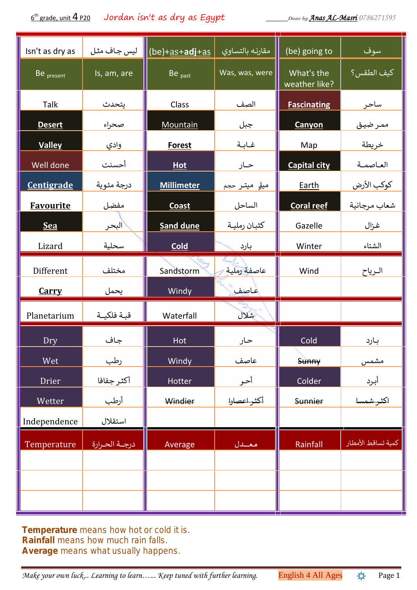$6<sup>th</sup>$  grade, unit 4 P20 th grade, unit 4 P20 Jordan isn't as dry as Egypt *Done by Anas AL-Masri 0786271595*

| Isn't as dry as   | ليس جاف مثل      | <mark> </mark> (be)+ <u>as+<b>adj</b>+as</u> | مقارنه بالتساوى              | (be) going to               | سوف                       |
|-------------------|------------------|----------------------------------------------|------------------------------|-----------------------------|---------------------------|
| Be present        | Is, am, are      | Be <sub>past</sub>                           | Was, was, were               | What's the<br>weather like? | ً <mark>كيف الطقس؟</mark> |
| Talk              | يتحدث            | Class                                        | الصف                         | <b>Fascinating</b>          | ساحر                      |
| <b>Desert</b>     | صحراء            | Mountain                                     | جبل                          | Canyon                      | ممر ضيق                   |
| <b>Valley</b>     | وادي             | <b>Forest</b>                                | غابة                         | Map                         | خريطة                     |
| Well done         | أحسنت            | Hot                                          | حـار                         | <b>Capital city</b>         | العاصمة                   |
| <b>Centigrade</b> | درجة مئوية       | <b>Millimeter</b>                            | میل <mark>و</mark> میتـر حجم | Earth                       | كوكب الأرض                |
| <b>Favourite</b>  | مفضل             | <b>Coast</b>                                 | الساحل                       | <b>Coral reef</b>           | شعاب مرجانية              |
| <b>Sea</b>        | البحر            | <b>Sand dune</b>                             | كثبان رملية                  | Gazelle                     | غزال                      |
| Lizard            | سحلية            | <b>Cold</b>                                  | بارد                         | Winter                      | الشتاء                    |
| Different         | مختلف            | Sandstorm                                    | عاصفة رملية                  | Wind                        | الرياح                    |
| <b>Carry</b>      | يحمل             | Windy                                        | عاصف                         |                             |                           |
| Planetarium       | قبة فلكيــة      | Waterfall                                    | شلال                         |                             |                           |
| Dry               | جاف              | Hot                                          | حار                          | Cold                        | بارد                      |
| Wet               | <u>رطب</u>       | Windy                                        | عاصف                         | Sunny                       | مشمس                      |
| <b>Drier</b>      | أكثر جفافا       | Hotter                                       | أحر                          | Colder                      | <u>أبرد</u>               |
| Wetter            | أرطب             | Windier                                      | أكثر اعصارا                  | <b>Sunnier</b>              | _<br>اكثر شمسا            |
| Independence      | استقلال          |                                              |                              |                             |                           |
| Temperature       | درجــة الحــرارة | Average                                      | هعملال                       | Rainfall                    | كمية تساقط الأمطار        |
|                   |                  |                                              |                              |                             |                           |
|                   |                  |                                              |                              |                             |                           |
|                   |                  |                                              |                              |                             |                           |

*Temperature means how hot or cold it is. Rainfall means how much rain falls. Average means what usually happens.*

*Make your own luck... Learning to learn...... Keep tuned with further learning.* English 4 All Ages  $\ast$  Page 1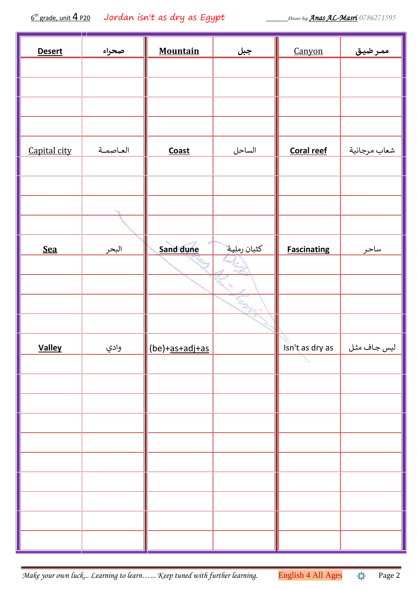6 th grade, unit 4 P20 Jordan isn't as dry as Egypt *Done by Anas AL-Masri 0786271595*

| <b>Desert</b> | صحراء        | <b>Mountain</b> | <u>جبل</u>    | Canyon             | ممرضيق       |  |
|---------------|--------------|-----------------|---------------|--------------------|--------------|--|
|               |              |                 |               |                    |              |  |
|               |              |                 |               |                    |              |  |
|               |              |                 |               |                    |              |  |
|               |              |                 |               |                    |              |  |
| Capital city  | العاصمة      | <b>Coast</b>    | الساحل        | Coral reef         | شعاب مرجانية |  |
|               |              |                 |               |                    |              |  |
|               |              |                 |               |                    |              |  |
|               |              |                 |               |                    |              |  |
|               |              |                 |               |                    |              |  |
| <b>Sea</b>    | <u>البحر</u> | Sand dune       | كثبان رملية   | <b>Fascinating</b> | ساحر         |  |
|               |              |                 | $\mathcal{O}$ |                    |              |  |
|               |              |                 |               |                    |              |  |
|               |              |                 | <b>ASSES</b>  |                    |              |  |
|               |              |                 |               |                    |              |  |
| <b>Valley</b> | <u>وادي</u>  | (be)+as+adj+as  |               | Isn't as dry as    | ليس جـاف مثل |  |
|               |              |                 |               |                    |              |  |
|               |              |                 |               |                    |              |  |
|               |              |                 |               |                    |              |  |
|               |              |                 |               |                    |              |  |
|               |              |                 |               |                    |              |  |
|               |              |                 |               |                    |              |  |
|               |              |                 |               |                    |              |  |
|               |              |                 |               |                    |              |  |
|               |              |                 |               |                    |              |  |
|               |              |                 |               |                    |              |  |
|               |              |                 |               |                    |              |  |

*Make your own luck... Learning to learn…... Keep tuned with further learning.* English 4 All Ages  $\frac{1}{2}$  Page 2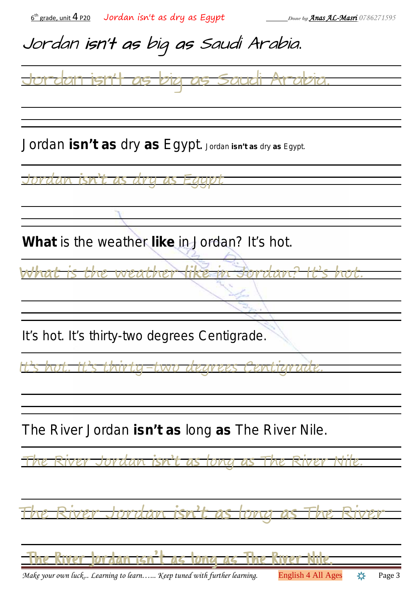| $6th$ grade, unit 4 p20 Jordan isn't as dry as Egypt                   | Done by <b>Anas AL-Masri</b> 0786271595  |
|------------------------------------------------------------------------|------------------------------------------|
| Jordan isn't as big as Saudi Arabia.                                   |                                          |
|                                                                        |                                          |
|                                                                        |                                          |
| Jordan isn't as dry as Egypt. Jordan isn't as dry as Egypt.            |                                          |
|                                                                        |                                          |
|                                                                        |                                          |
| What is the weather like in Jordan? It's hot.                          |                                          |
| <del>athe</del> i<br><b>307</b>                                        | <b>72721</b>                             |
|                                                                        |                                          |
| It's hot. It's thirty-two degrees Centigrade.                          |                                          |
|                                                                        |                                          |
|                                                                        |                                          |
| The River Jordan isn't as long as The River Nile.                      |                                          |
|                                                                        |                                          |
|                                                                        |                                          |
| ,                                                                      |                                          |
| Make your own luck Learning to learn Keep tuned with further learning. | <b>English 4 All Ages</b><br>Page 3<br>☆ |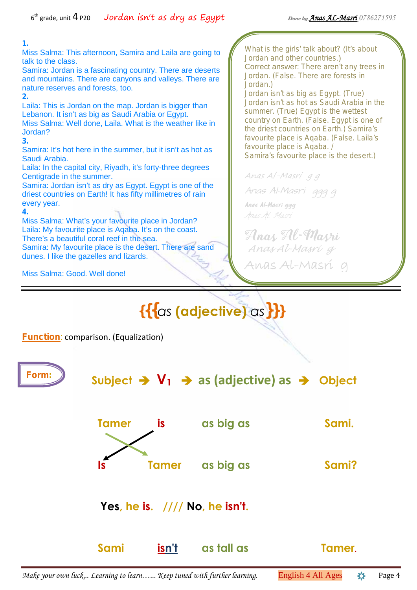#### **1.**

Miss Salma: This afternoon, Samira and Laila are going to talk to the class.

Samira: Jordan is a fascinating country. There are deserts and mountains. There are canyons and valleys. There are nature reserves and forests, too.

#### **2.**

Laila: This is Jordan on the map. Jordan is bigger than Lebanon. It isn't as big as Saudi Arabia or Egypt. Miss Salma: Well done, Laila. What is the weather like in Jordan?

**3.**

Samira: It's hot here in the summer, but it isn't as hot as Saudi Arabia.

Laila: In the capital city, Riyadh, it's forty-three degrees Centigrade in the summer.

Samira: Jordan isn't as dry as Egypt. Egypt is one of the driest countries on Earth! It has fifty millimetres of rain every year.

**4.**

Miss Salma: What's your favourite place in Jordan? Laila: My favourite place is Aqaba. It's on the coast. There's a beautiful coral reef in the sea. Samira: My favourite place is the desert. There are sand dunes. I like the gazelles and lizards.

*What is the girls' talk about?* (*It's about Jordan and other countries*.) Correct answer: *There aren't any trees in Jordan. (False. There are forests in Jordan.)*

*Jordan isn't as big as Egypt. (True) Jordan isn't as hot as Saudi Arabia in the summer. (True) Egypt is the wettest country on Earth. (False. Egypt is one of the driest countries on Earth.) Samira's favourite place is Aqaba. (False. Laila's favourite place is Aqaba. / Samira's favourite place is the desert.)*

*Anas Al-Masri g g*

*Anas Al-Masri ggg g Anas Al-Masri ggg Anas Al-Masri*

*Anas Al-Masri Anas Al-Masri g* **Anas Al-Masri g**

Miss Salma: Good. Well done!

# **{{{***as* **(adjective)** *as***}}}**

**Function**: comparison. (Equalization)

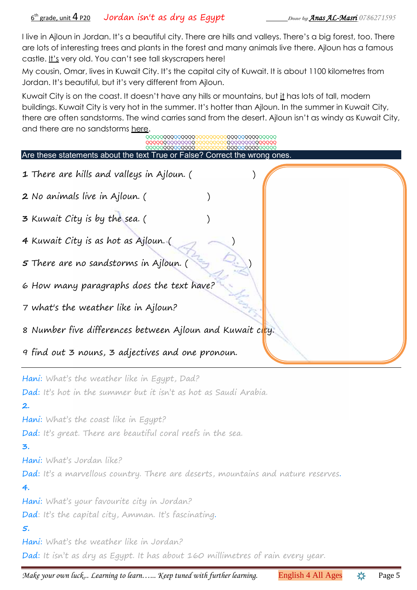I live in Ajloun in Jordan. It's a beautiful city. There are hills and valleys. There's a big forest, too. There are lots of interesting trees and plants in the forest and many animals live there. Ajloun has a famous castle. It's very old. You can't see tall skyscrapers here!

My cousin, Omar, lives in Kuwait City. It's the capital city of Kuwait. It is about 1100 kilometres from Jordan. It's beautiful, but it's very different from Ajloun.

Kuwait City is on the coast. It doesn't have any hills or mountains, but it has lots of tall, modern buildings. Kuwait City is very hot in the summer. It's hotter than Ajloun. In the summer in Kuwait City, there are often sandstorms. The wind carries sand from the desert. Ajloun isn't as windy as Kuwait City, and there are no sandstorms here.

| QQQQQQQQQQQQQQQQQQQQQQQQQQQQQQQQQQQQ<br>QQQQQQQQQQQQQQQ<br><b>QQQQQQQQQQQQQQQ</b><br>QQQQQ <b>QQQQQQQQQ</b> Q<br>QQQQQQQQQQQQQQ |                                              |
|---------------------------------------------------------------------------------------------------------------------------------|----------------------------------------------|
| Are these statements about the text True or False? Correct the wrong ones.                                                      |                                              |
| 1 There are hills and valleys in Ajloun. (                                                                                      |                                              |
| 2 No animals live in Ajloun. (                                                                                                  |                                              |
| 3 Kuwait City is by the sea. (                                                                                                  |                                              |
| 4 Kuwait City is as hot as Ajloun. (                                                                                            |                                              |
| <b>5</b> There are no sandstorms in Ajloun. (                                                                                   |                                              |
| 6 How many paragraphs does the text have?                                                                                       |                                              |
| 7 what's the weather like in Ajloun?                                                                                            |                                              |
| 8 Number five differences between Ajloun and Kuwait city.                                                                       |                                              |
| 9 find out 3 nouns, 3 adjectives and one pronoun.                                                                               |                                              |
| Hani: What's the weather like in Egypt, Dad?<br>Dad: It's hot in the summer but it isn't as hot as Saudi Arabia.<br>2.          |                                              |
| Hani: What's the coast like in Egypt?                                                                                           |                                              |
| Dad: It's great. There are beautiful coral reefs in the sea.                                                                    |                                              |
| ၁.                                                                                                                              |                                              |
| Hani: What's Jordan like?                                                                                                       |                                              |
| Dad: It's a marvellous country. There are deserts, mountains and nature reserves.                                               |                                              |
| 4.                                                                                                                              |                                              |
| Hani: What's your favourite city in Jordan?<br>Dad: It's the capital city, Amman. It's fascinating.                             |                                              |
| 5.                                                                                                                              |                                              |
| Hani: What's the weather like in Jordan?                                                                                        |                                              |
| Dad: It isn't as dry as Egypt. It has about 160 millimetres of rain every year.                                                 |                                              |
| Make your own luck Learning to learn Keep tuned with further learning.                                                          | <del>姿</del><br>English 4 All Ages<br>Page 5 |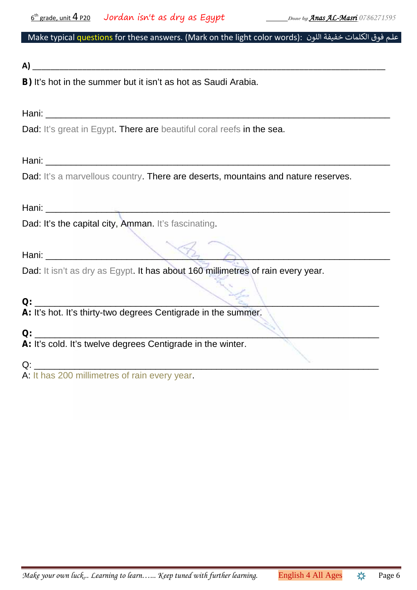## Make typical questions for these answers. (Mark on the light color words): علم فوق الكلمات خفيفة اللون

### **A)** \_\_\_\_\_\_\_\_\_\_\_\_\_\_\_\_\_\_\_\_\_\_\_\_\_\_\_\_\_\_\_\_\_\_\_\_\_\_\_\_\_\_\_\_\_\_\_\_\_\_\_\_\_\_\_\_\_\_\_\_\_\_\_\_\_\_\_\_\_\_\_\_\_\_\_\_\_\_

**B)** It's hot in the summer but it isn't as hot as Saudi Arabia.

Hani: \_\_\_\_\_\_\_\_\_\_\_\_\_\_\_\_\_\_\_\_\_\_\_\_\_\_\_\_\_\_\_\_\_\_\_\_\_\_\_\_\_\_\_\_\_\_\_\_\_\_\_\_\_\_\_\_\_\_\_\_\_\_\_\_\_\_\_\_

Dad: It's great in Egypt. There are beautiful coral reefs in the sea.

Hani: \_\_\_\_\_\_\_\_\_\_\_\_\_\_\_\_\_\_\_\_\_\_\_\_\_\_\_\_\_\_\_\_\_\_\_\_\_\_\_\_\_\_\_\_\_\_\_\_\_\_\_\_\_\_\_\_\_\_\_\_\_\_\_\_\_\_\_\_

Dad: It's a marvellous country. There are deserts, mountains and nature reserves.

Hani: \_\_\_\_\_\_\_\_\_\_\_\_\_\_\_\_\_\_\_\_\_\_\_\_\_\_\_\_\_\_\_\_\_\_\_\_\_\_\_\_\_\_\_\_\_\_\_\_\_\_\_\_\_\_\_\_\_\_\_\_\_\_\_\_\_\_\_\_

Dad: It's the capital city, Amman. It's fascinating.

Hani: \_\_\_\_\_\_\_\_\_\_\_\_\_\_\_\_\_\_\_\_\_\_\_\_\_\_\_\_\_\_\_\_\_\_\_\_\_\_\_\_\_\_\_\_\_\_\_\_\_\_\_\_\_\_\_\_\_\_\_\_\_\_\_\_\_\_\_\_

Dad: It isn't as dry as Egypt. It has about 160 millimetres of rain every year.

## **Q:** \_\_\_\_\_\_\_\_\_\_\_\_\_\_\_\_\_\_\_\_\_\_\_\_\_\_\_\_\_\_\_\_\_\_\_\_\_\_\_\_\_\_\_\_\_\_\_\_\_\_\_\_\_\_\_\_\_\_\_\_\_\_\_\_\_\_\_\_

**A:** It's hot. It's thirty-two degrees Centigrade in the summer.

**Q:** \_\_\_\_\_\_\_\_\_\_\_\_\_\_\_\_\_\_\_\_\_\_\_\_\_\_\_\_\_\_\_\_\_\_\_\_\_\_\_\_\_\_\_\_\_\_\_\_\_\_\_\_\_\_\_\_\_\_\_\_\_\_\_\_\_\_\_\_ **A:** It's cold. It's twelve degrees Centigrade in the winter.

Q: \_\_\_\_\_\_\_\_\_\_\_\_\_\_\_\_\_\_\_\_\_\_\_\_\_\_\_\_\_\_\_\_\_\_\_\_\_\_\_\_\_\_\_\_\_\_\_\_\_\_\_\_\_\_\_\_\_\_\_\_\_\_\_\_\_\_\_\_

A: It has 200 millimetres of rain every year.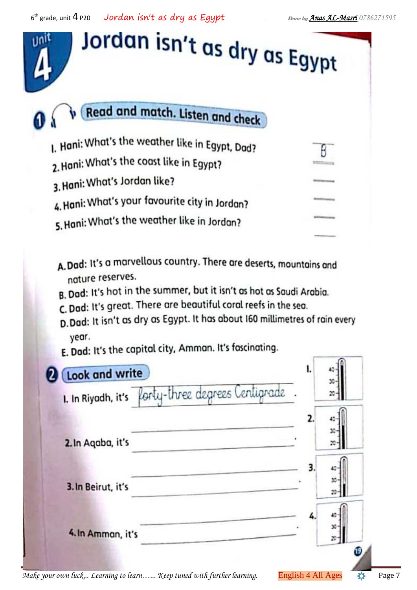| Jordan isn't as dry as Egypt                    |  |
|-------------------------------------------------|--|
| Read and match. Listen and check                |  |
| I. Hani: What's the weather like in Egypt, Dad? |  |
| 2. Hani: What's the coast like in Egypt?        |  |
| 3. Hani: What's Jordan like?                    |  |
| 4. Hani: What's your favourite city in Jordan?  |  |
| 5. Hani: What's the weather like in Jordan?     |  |
|                                                 |  |

- A.Dad: It's a marvellous country. There are deserts, mountains and nature reserves.
- B. Dad: It's hot in the summer, but it isn't as hot as Saudi Arabia.
- C. Dad: It's great. There are beautiful coral reefs in the sea.
- D. Dad: It isn't as dry as Egypt. It has about 160 millimetres of rain every year.
- E. Dad: It's the capital city, Amman. It's fascinating.

| 1. In Riyadh, it's forty-three degrees Centigrade. |          |
|----------------------------------------------------|----------|
|                                                    |          |
| 2. In Agaba, it's                                  | 30       |
|                                                    |          |
| 3. In Beirut, it's                                 | 33<br>20 |
|                                                    |          |
| 4. In Amman, it's                                  | x        |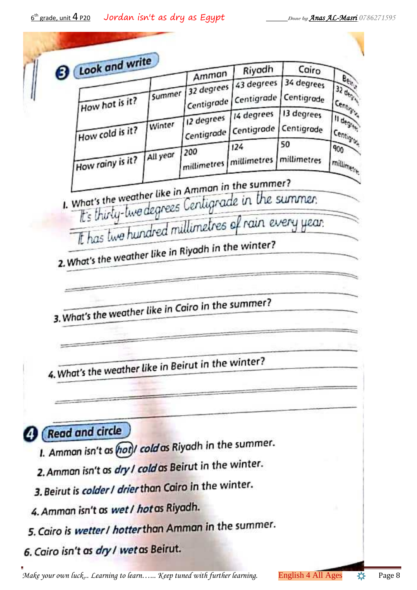$6<sup>th</sup>$  grade, unit  $4$  P20 th grade, unit 4 P20 Jordan isn't as dry as Egypt *Done by Anas AL-Masri 0786271595*

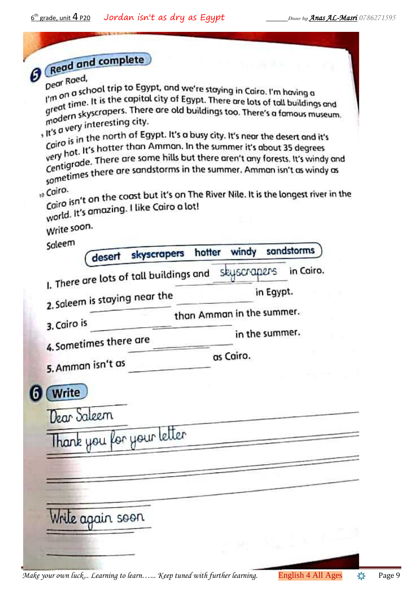| and complete |  |
|--------------|--|

| Redd und                                                                                                                                                                                                                                                                                                                                                                                                                                                                                                                                                                                                                                                |             |        |                           |           |            |
|---------------------------------------------------------------------------------------------------------------------------------------------------------------------------------------------------------------------------------------------------------------------------------------------------------------------------------------------------------------------------------------------------------------------------------------------------------------------------------------------------------------------------------------------------------------------------------------------------------------------------------------------------------|-------------|--------|---------------------------|-----------|------------|
| Dear Roed,<br>Deur<br>I'm on a school trip to Egypt, and we're staying in Cairo. I'm having a<br>I'm or time. It is the capital city of Egypt. There are lots of tall buildings and<br>great time. It is the capital city of Egypt. There are lots of tall buildings and<br>great times.<br>modern skyscrapers. There are old buildings too. There's a famous museum.<br>, it's a very interesting city.<br>Cairo is in the north of Egypt. It's a busy city. It's near the desert and it's<br>call Call Care in the Summan. In the summer it's about 35 degrees<br>very very respect there are some hills but there aren't any forests. It's windy and |             |        |                           |           |            |
| Centry to ests. It's windy an<br>sometimes there are sandstorms in the summer. Amman isn't as windy as<br>10 Cairo.<br>Cairo isn't on the coast but it's on The River Nile. It is the longest river in the<br>world. It's amazing. I like Cairo a lot!                                                                                                                                                                                                                                                                                                                                                                                                  |             |        |                           |           |            |
| Write soon.                                                                                                                                                                                                                                                                                                                                                                                                                                                                                                                                                                                                                                             |             |        |                           |           |            |
| Saleem<br>desert                                                                                                                                                                                                                                                                                                                                                                                                                                                                                                                                                                                                                                        | skyscrapers | hotter | windy                     |           | sandstorms |
| I. There are lots of tall buildings and                                                                                                                                                                                                                                                                                                                                                                                                                                                                                                                                                                                                                 |             |        | skyscrapers               | in Egypt. | in Cairo.  |
| 2. Saleem is staying near the                                                                                                                                                                                                                                                                                                                                                                                                                                                                                                                                                                                                                           |             |        | than Amman in the summer. |           |            |
| 3. Cairo is<br>4. Sometimes there are                                                                                                                                                                                                                                                                                                                                                                                                                                                                                                                                                                                                                   |             |        | in the summer.            |           |            |
| 5. Amman isn't as                                                                                                                                                                                                                                                                                                                                                                                                                                                                                                                                                                                                                                       |             |        | as Cairo.                 |           |            |
| (Write                                                                                                                                                                                                                                                                                                                                                                                                                                                                                                                                                                                                                                                  |             |        |                           |           |            |
| Dear Saleem                                                                                                                                                                                                                                                                                                                                                                                                                                                                                                                                                                                                                                             |             |        |                           |           |            |
| Thank you for your letter                                                                                                                                                                                                                                                                                                                                                                                                                                                                                                                                                                                                                               |             |        |                           |           |            |
|                                                                                                                                                                                                                                                                                                                                                                                                                                                                                                                                                                                                                                                         |             |        |                           |           |            |
|                                                                                                                                                                                                                                                                                                                                                                                                                                                                                                                                                                                                                                                         |             |        |                           |           |            |
| Write again soon                                                                                                                                                                                                                                                                                                                                                                                                                                                                                                                                                                                                                                        |             |        |                           |           |            |
|                                                                                                                                                                                                                                                                                                                                                                                                                                                                                                                                                                                                                                                         |             |        |                           |           |            |
|                                                                                                                                                                                                                                                                                                                                                                                                                                                                                                                                                                                                                                                         |             |        |                           |           |            |

*Make your own luck... Learning to learn...... Keep tuned with further learning.* English 4 All Ages  $\ast$  Page 9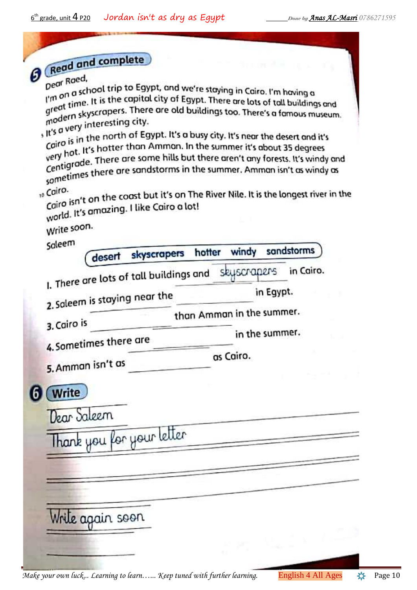| and complete |  |
|--------------|--|
|              |  |
|              |  |

| Redd und                                                   |                                                                                                                                                                                                                                                                                                                                                                                                                                                                                                                                                                                                                                                                                                                                                                                                |           |
|------------------------------------------------------------|------------------------------------------------------------------------------------------------------------------------------------------------------------------------------------------------------------------------------------------------------------------------------------------------------------------------------------------------------------------------------------------------------------------------------------------------------------------------------------------------------------------------------------------------------------------------------------------------------------------------------------------------------------------------------------------------------------------------------------------------------------------------------------------------|-----------|
| Dear Roed,<br>, it's a very interesting city.<br>10 Cairo. | Deur<br>I'm on a school trip to Egypt, and we're staying in Cairo. I'm having a<br>I'm or time. It is the capital city of Egypt. There are lots of tall buildings and<br>great time. It is the capital city of Egypt. There are lots of tall buildings and<br>great times.<br>modern skyscrapers. There are old buildings too. There's a famous museum.<br>Cairo is in the north of Egypt. It's a busy city. It's near the desert and it's<br>Caird is that the Ammon. In the summer it's about 35 degrees<br>very ligrade. There are some hills but there aren't any forests. It's windy and<br>Centry to ests. It's windy an<br>sometimes there are sandstorms in the summer. Amman isn't as windy as<br>Cairo isn't on the coast but it's on The River Nile. It is the longest river in the |           |
| world. It's amazing. I like Cairo a lot!                   |                                                                                                                                                                                                                                                                                                                                                                                                                                                                                                                                                                                                                                                                                                                                                                                                |           |
| Write soon.                                                |                                                                                                                                                                                                                                                                                                                                                                                                                                                                                                                                                                                                                                                                                                                                                                                                |           |
| Saleem<br>skyscrapers<br>desert                            | sandstorms<br>windy<br>hotter                                                                                                                                                                                                                                                                                                                                                                                                                                                                                                                                                                                                                                                                                                                                                                  |           |
| I. There are lots of tall buildings and                    | skyscrapers                                                                                                                                                                                                                                                                                                                                                                                                                                                                                                                                                                                                                                                                                                                                                                                    | in Cairo. |
| 2. Saleem is staying near the                              | in Egypt.                                                                                                                                                                                                                                                                                                                                                                                                                                                                                                                                                                                                                                                                                                                                                                                      |           |
|                                                            | than Amman in the summer.                                                                                                                                                                                                                                                                                                                                                                                                                                                                                                                                                                                                                                                                                                                                                                      |           |
| 3. Cairo is<br>4. Sometimes there are                      | in the summer.                                                                                                                                                                                                                                                                                                                                                                                                                                                                                                                                                                                                                                                                                                                                                                                 |           |
| 5. Amman isn't as                                          | as Cairo.                                                                                                                                                                                                                                                                                                                                                                                                                                                                                                                                                                                                                                                                                                                                                                                      |           |
| (Write)                                                    |                                                                                                                                                                                                                                                                                                                                                                                                                                                                                                                                                                                                                                                                                                                                                                                                |           |
| Dear Saleem                                                |                                                                                                                                                                                                                                                                                                                                                                                                                                                                                                                                                                                                                                                                                                                                                                                                |           |
| Thank you for your letter                                  |                                                                                                                                                                                                                                                                                                                                                                                                                                                                                                                                                                                                                                                                                                                                                                                                |           |
|                                                            |                                                                                                                                                                                                                                                                                                                                                                                                                                                                                                                                                                                                                                                                                                                                                                                                |           |
|                                                            |                                                                                                                                                                                                                                                                                                                                                                                                                                                                                                                                                                                                                                                                                                                                                                                                |           |
|                                                            |                                                                                                                                                                                                                                                                                                                                                                                                                                                                                                                                                                                                                                                                                                                                                                                                |           |
| Write again soon                                           |                                                                                                                                                                                                                                                                                                                                                                                                                                                                                                                                                                                                                                                                                                                                                                                                |           |
|                                                            |                                                                                                                                                                                                                                                                                                                                                                                                                                                                                                                                                                                                                                                                                                                                                                                                |           |

*Make your own luck... Learning to learn...... Keep tuned with further learning.* English 4 All Ages  $\Rightarrow$  Page 10